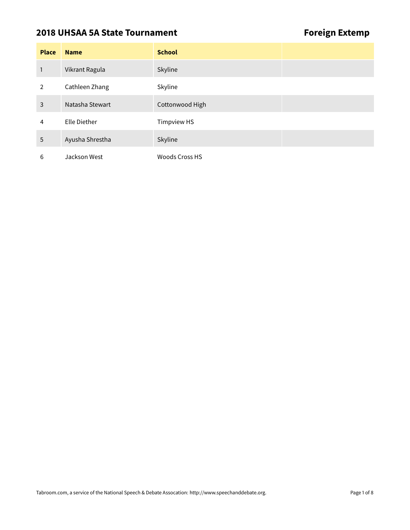### **2018 UHSAA 5A State Tournament Constraining Foreign Extemp**

| <b>Place</b> | <b>Name</b>     | <b>School</b>         |
|--------------|-----------------|-----------------------|
| 1            | Vikrant Ragula  | Skyline               |
| 2            | Cathleen Zhang  | Skyline               |
| 3            | Natasha Stewart | Cottonwood High       |
| 4            | Elle Diether    | <b>Timpview HS</b>    |
| 5            | Ayusha Shrestha | Skyline               |
| 6            | Jackson West    | <b>Woods Cross HS</b> |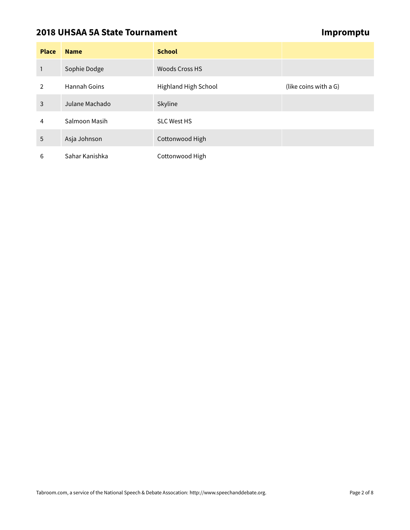# **2018 UHSAA 5A State Tournament Community Community Community Community Community Community Community Community**

| <b>Place</b>   | <b>Name</b>    | <b>School</b>        |                       |
|----------------|----------------|----------------------|-----------------------|
| 1              | Sophie Dodge   | Woods Cross HS       |                       |
| $\overline{2}$ | Hannah Goins   | Highland High School | (like coins with a G) |
| 3              | Julane Machado | Skyline              |                       |
| 4              | Salmoon Masih  | <b>SLC West HS</b>   |                       |
| 5              | Asja Johnson   | Cottonwood High      |                       |
| 6              | Sahar Kanishka | Cottonwood High      |                       |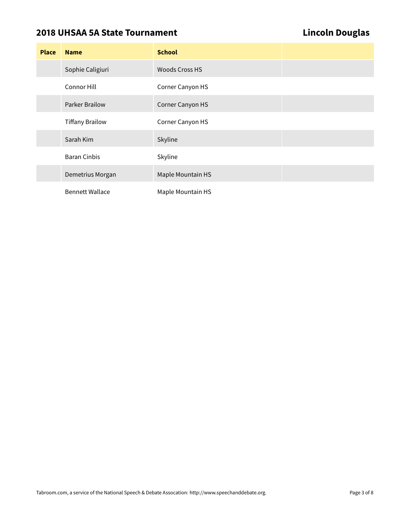# **2018 UHSAA 5A State Tournament Lincoln Douglas**

| <b>Place</b> | <b>Name</b>            | <b>School</b>         |
|--------------|------------------------|-----------------------|
|              | Sophie Caligiuri       | <b>Woods Cross HS</b> |
|              | Connor Hill            | Corner Canyon HS      |
|              | Parker Brailow         | Corner Canyon HS      |
|              | <b>Tiffany Brailow</b> | Corner Canyon HS      |
|              | Sarah Kim              | Skyline               |
|              | <b>Baran Cinbis</b>    | Skyline               |
|              | Demetrius Morgan       | Maple Mountain HS     |
|              | <b>Bennett Wallace</b> | Maple Mountain HS     |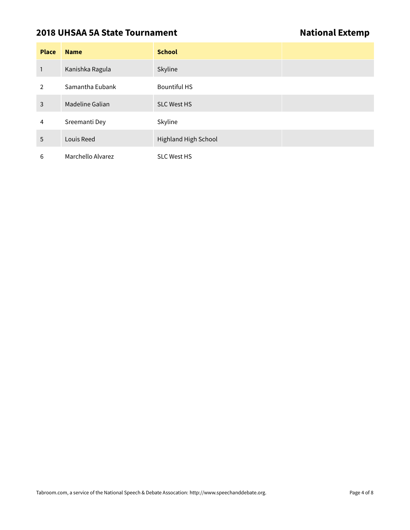### **2018 UHSAA 5A State Tournament National Extemp**

| <b>Place</b>  | <b>Name</b>       | <b>School</b>               |
|---------------|-------------------|-----------------------------|
| 1             | Kanishka Ragula   | Skyline                     |
| $\mathcal{P}$ | Samantha Eubank   | <b>Bountiful HS</b>         |
| 3             | Madeline Galian   | <b>SLC West HS</b>          |
| 4             | Sreemanti Dey     | Skyline                     |
| 5             | Louis Reed        | <b>Highland High School</b> |
| 6             | Marchello Alvarez | <b>SLC West HS</b>          |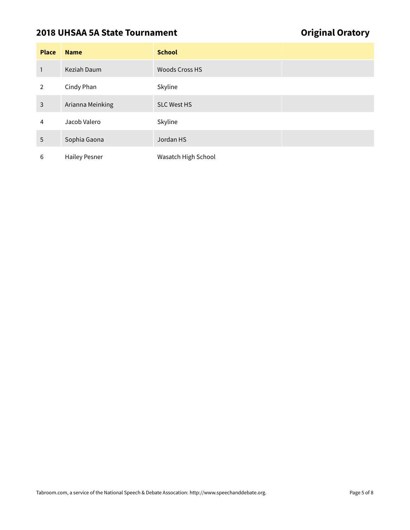# **2018 UHSAA 5A State Tournament Construction Construction Construction Construction Construction Construction Construction Construction Construction Construction Construction Construction Construction Construction Construc**

| <b>Place</b>   | <b>Name</b>          | <b>School</b>         |
|----------------|----------------------|-----------------------|
| 1              | Keziah Daum          | <b>Woods Cross HS</b> |
| $\overline{2}$ | Cindy Phan           | Skyline               |
| 3              | Arianna Meinking     | <b>SLC West HS</b>    |
| 4              | Jacob Valero         | Skyline               |
| 5              | Sophia Gaona         | Jordan HS             |
| 6              | <b>Hailey Pesner</b> | Wasatch High School   |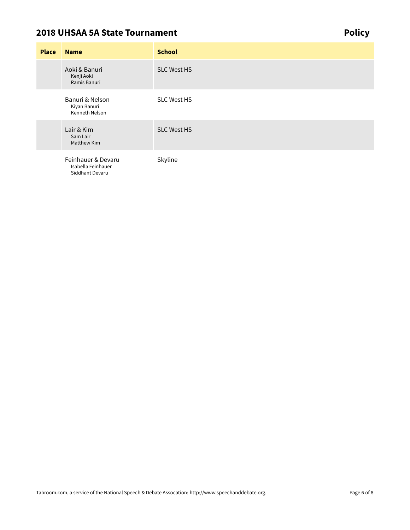### **2018 UHSAA 5A State Tournament** *Policy*

**Place Name School** Aoki & Banuri Kenji Aoki Ramis Banuri SLC West HS Banuri & Nelson Kiyan Banuri Kenneth Nelson SLC West HS Lair & Kim Sam Lair Matthew Kim SLC West HS Feinhauer & Devaru Isabella Feinhauer Siddhant Devaru Skyline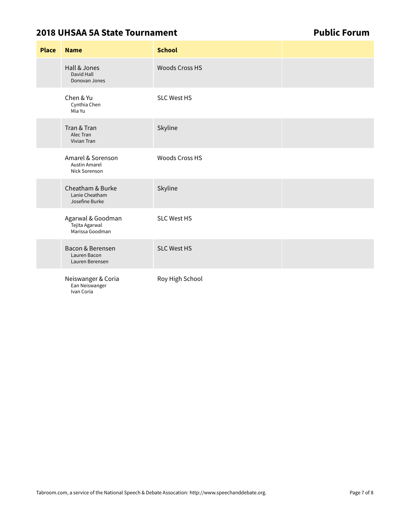### **2018 UHSAA 5A State Tournament Public Forum**

| <b>Place</b> | <b>Name</b>                                                | <b>School</b>         |  |
|--------------|------------------------------------------------------------|-----------------------|--|
|              | Hall & Jones<br>David Hall<br>Donovan Jones                | <b>Woods Cross HS</b> |  |
|              | Chen & Yu<br>Cynthia Chen<br>Mia Yu                        | <b>SLC West HS</b>    |  |
|              | Tran & Tran<br>Alec Tran<br>Vivian Tran                    | Skyline               |  |
|              | Amarel & Sorenson<br><b>Austin Amarel</b><br>Nick Sorenson | <b>Woods Cross HS</b> |  |
|              | Cheatham & Burke<br>Lanie Cheatham<br>Josefine Burke       | Skyline               |  |
|              | Agarwal & Goodman<br>Tejita Agarwal<br>Marissa Goodman     | <b>SLC West HS</b>    |  |
|              | Bacon & Berensen<br>Lauren Bacon<br>Lauren Berensen        | <b>SLC West HS</b>    |  |
|              | Neiswanger & Coria<br>Ean Neiswanger<br>Ivan Coria         | Roy High School       |  |